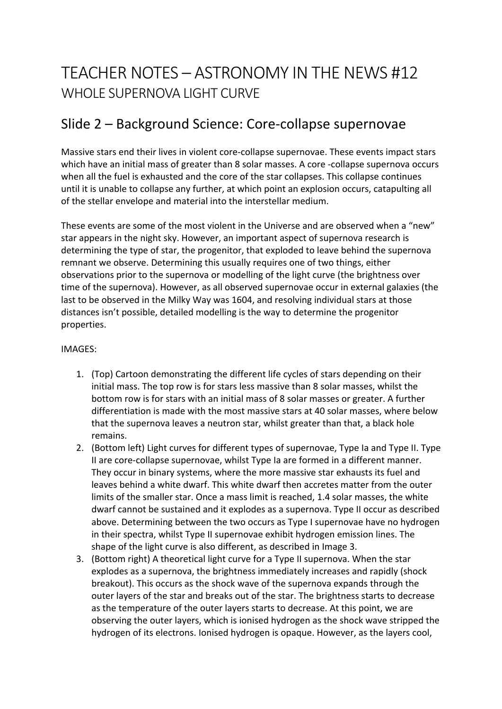# TEACHER NOTES – ASTRONOMY IN THE NEWS #12 WHOLE SUPERNOVA LIGHT CURVE

### Slide 2 – Background Science: Core-collapse supernovae

Massive stars end their lives in violent core-collapse supernovae. These events impact stars which have an initial mass of greater than 8 solar masses. A core -collapse supernova occurs when all the fuel is exhausted and the core of the star collapses. This collapse continues until it is unable to collapse any further, at which point an explosion occurs, catapulting all of the stellar envelope and material into the interstellar medium.

These events are some of the most violent in the Universe and are observed when a "new" star appears in the night sky. However, an important aspect of supernova research is determining the type of star, the progenitor, that exploded to leave behind the supernova remnant we observe. Determining this usually requires one of two things, either observations prior to the supernova or modelling of the light curve (the brightness over time of the supernova). However, as all observed supernovae occur in external galaxies (the last to be observed in the Milky Way was 1604, and resolving individual stars at those distances isn't possible, detailed modelling is the way to determine the progenitor properties.

#### IMAGES:

- 1. (Top) Cartoon demonstrating the different life cycles of stars depending on their initial mass. The top row is for stars less massive than 8 solar masses, whilst the bottom row is for stars with an initial mass of 8 solar masses or greater. A further differentiation is made with the most massive stars at 40 solar masses, where below that the supernova leaves a neutron star, whilst greater than that, a black hole remains.
- 2. (Bottom left) Light curves for different types of supernovae, Type Ia and Type II. Type II are core-collapse supernovae, whilst Type Ia are formed in a different manner. They occur in binary systems, where the more massive star exhausts its fuel and leaves behind a white dwarf. This white dwarf then accretes matter from the outer limits of the smaller star. Once a mass limit is reached, 1.4 solar masses, the white dwarf cannot be sustained and it explodes as a supernova. Type II occur as described above. Determining between the two occurs as Type I supernovae have no hydrogen in their spectra, whilst Type II supernovae exhibit hydrogen emission lines. The shape of the light curve is also different, as described in Image 3.
- 3. (Bottom right) A theoretical light curve for a Type II supernova. When the star explodes as a supernova, the brightness immediately increases and rapidly (shock breakout). This occurs as the shock wave of the supernova expands through the outer layers of the star and breaks out of the star. The brightness starts to decrease as the temperature of the outer layers starts to decrease. At this point, we are observing the outer layers, which is ionised hydrogen as the shock wave stripped the hydrogen of its electrons. Ionised hydrogen is opaque. However, as the layers cool,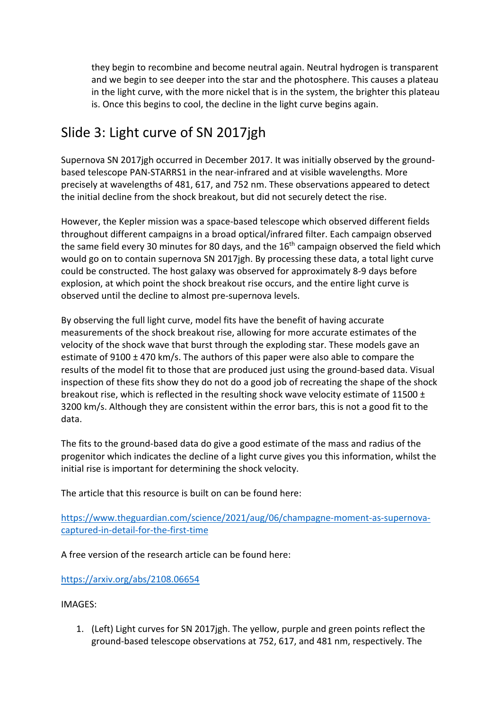they begin to recombine and become neutral again. Neutral hydrogen is transparent and we begin to see deeper into the star and the photosphere. This causes a plateau in the light curve, with the more nickel that is in the system, the brighter this plateau is. Once this begins to cool, the decline in the light curve begins again.

## Slide 3: Light curve of SN 2017jgh

Supernova SN 2017jgh occurred in December 2017. It was initially observed by the groundbased telescope PAN-STARRS1 in the near-infrared and at visible wavelengths. More precisely at wavelengths of 481, 617, and 752 nm. These observations appeared to detect the initial decline from the shock breakout, but did not securely detect the rise.

However, the Kepler mission was a space-based telescope which observed different fields throughout different campaigns in a broad optical/infrared filter. Each campaign observed the same field every 30 minutes for 80 days, and the 16<sup>th</sup> campaign observed the field which would go on to contain supernova SN 2017jgh. By processing these data, a total light curve could be constructed. The host galaxy was observed for approximately 8-9 days before explosion, at which point the shock breakout rise occurs, and the entire light curve is observed until the decline to almost pre-supernova levels.

By observing the full light curve, model fits have the benefit of having accurate measurements of the shock breakout rise, allowing for more accurate estimates of the velocity of the shock wave that burst through the exploding star. These models gave an estimate of 9100 ± 470 km/s. The authors of this paper were also able to compare the results of the model fit to those that are produced just using the ground-based data. Visual inspection of these fits show they do not do a good job of recreating the shape of the shock breakout rise, which is reflected in the resulting shock wave velocity estimate of 11500  $\pm$ 3200 km/s. Although they are consistent within the error bars, this is not a good fit to the data.

The fits to the ground-based data do give a good estimate of the mass and radius of the progenitor which indicates the decline of a light curve gives you this information, whilst the initial rise is important for determining the shock velocity.

The article that this resource is built on can be found here:

https://www.theguardian.com/science/2021/aug/06/champagne-moment-as-supernovacaptured-in-detail-for-the-first-time

A free version of the research article can be found here:

https://arxiv.org/abs/2108.06654

#### IMAGES:

1. (Left) Light curves for SN 2017jgh. The yellow, purple and green points reflect the ground-based telescope observations at 752, 617, and 481 nm, respectively. The